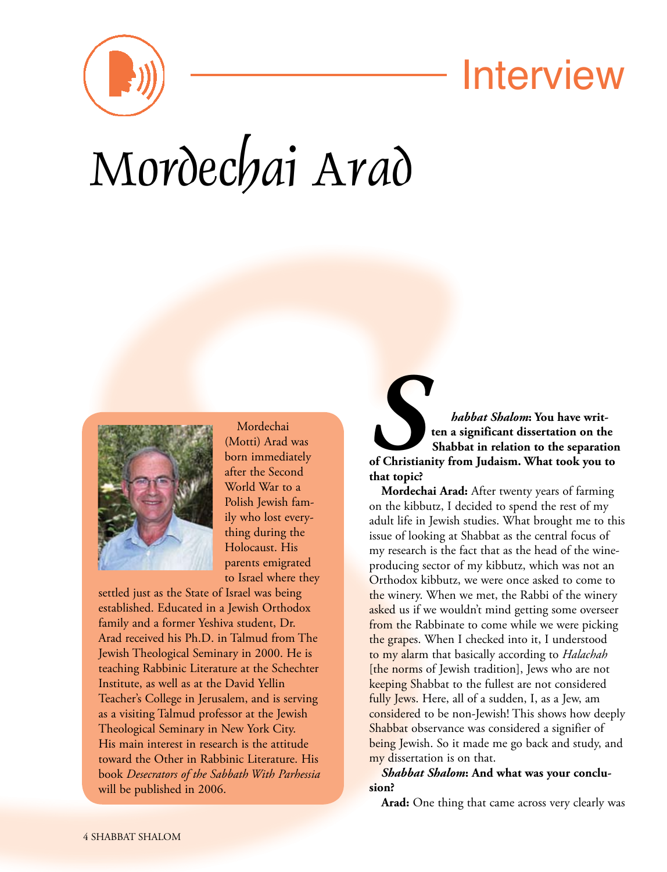

## Interview

# Mordechai Arad



Mordechai (Motti) Arad was born immediately after the Second World War to a Polish Jewish family who lost everything during the Holocaust. His parents emigrated to Israel where they

settled just as the State of Israel was being established. Educated in a Jewish Orthodox family and a former Yeshiva student, Dr. Arad received his Ph.D. in Talmud from The Jewish Theological Seminary in 2000. He is teaching Rabbinic Literature at the Schechter Institute, as well as at the David Yellin Teacher's College in Jerusalem, and is serving as a visiting Talmud professor at the Jewish Theological Seminary in New York City. His main interest in research is the attitude toward the Other in Rabbinic Literature. His book *Desecrators of the Sabbath With Parhessia* will be published in 2006.

**s** *habbat Shalom*: You have writ-<br>
ten a significant dissertation on the<br>
Shabbat in relation to the separation<br>
of Christianity from Judaism. What took you to **ten a significant dissertation on the Shabbat in relation to the separation that topic?**

**Mordechai Arad:** After twenty years of farming on the kibbutz, I decided to spend the rest of my adult life in Jewish studies. What brought me to this issue of looking at Shabbat as the central focus of my research is the fact that as the head of the wineproducing sector of my kibbutz, which was not an Orthodox kibbutz, we were once asked to come to the winery. When we met, the Rabbi of the winery asked us if we wouldn't mind getting some overseer from the Rabbinate to come while we were picking the grapes. When I checked into it, I understood to my alarm that basically according to *Halachah* [the norms of Jewish tradition], Jews who are not keeping Shabbat to the fullest are not considered fully Jews. Here, all of a sudden, I, as a Jew, am considered to be non-Jewish! This shows how deeply Shabbat observance was considered a signifier of being Jewish. So it made me go back and study, and my dissertation is on that.

*Shabbat Shalom***: And what was your conclusion?**

**Arad:** One thing that came across very clearly was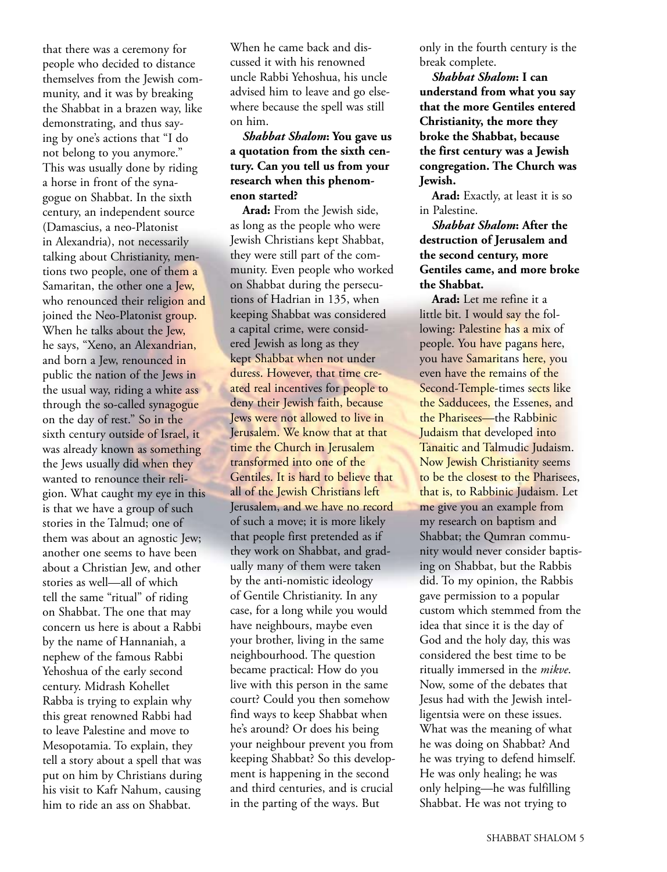that there was a ceremony for people who decided to distance themselves from the Jewish community, and it was by breaking the Shabbat in a brazen way, like demonstrating, and thus saying by one's actions that "I do not belong to you anymore." This was usually done by riding a horse in front of the synagogue on Shabbat. In the sixth century, an independent source (Damascius, a neo-Platonist in Alexandria), not necessarily talking about Christianity, mentions two people, one of them a Samaritan, the other one a Jew, who renounced their religion and joined the Neo-Platonist group. When he talks about the Jew, he says, "Xeno, an Alexandrian, and born a Jew, renounced in public the nation of the Jews in the usual way, riding a white ass through the so-called synagogue on the day of rest." So in the sixth century outside of Israel, it was already known as something the Jews usually did when they wanted to renounce their religion. What caught my eye in this is that we have a group of such stories in the Talmud; one of them was about an agnostic Jew; another one seems to have been about a Christian Jew, and other stories as well—all of which tell the same "ritual" of riding on Shabbat. The one that may concern us here is about a Rabbi by the name of Hannaniah, a nephew of the famous Rabbi Yehoshua of the early second century. Midrash Kohellet Rabba is trying to explain why this great renowned Rabbi had to leave Palestine and move to Mesopotamia. To explain, they tell a story about a spell that was put on him by Christians during his visit to Kafr Nahum, causing him to ride an ass on Shabbat.

When he came back and discussed it with his renowned uncle Rabbi Yehoshua, his uncle advised him to leave and go elsewhere because the spell was still on him.

#### *Shabbat Shalom***: You gave us a quotation from the sixth century. Can you tell us from your research when this phenomenon started?**

**Arad:** From the Jewish side, as long as the people who were Jewish Christians kept Shabbat, they were still part of the community. Even people who worked on Shabbat during the persecutions of Hadrian in 135, when keeping Shabbat was considered a capital crime, were considered Jewish as long as they kept Shabbat when not under duress. However, that time created real incentives for people to deny their Jewish faith, because Jews were not allowed to live in Jerusalem. We know that at that time the Church in Jerusalem transformed into one of the Gentiles. It is hard to believe that all of the Jewish Christians left Jerusalem, and we have no record of such a move; it is more likely that people first pretended as if they work on Shabbat, and gradually many of them were taken by the anti-nomistic ideology of Gentile Christianity. In any case, for a long while you would have neighbours, maybe even your brother, living in the same neighbourhood. The question became practical: How do you live with this person in the same court? Could you then somehow find ways to keep Shabbat when he's around? Or does his being your neighbour prevent you from keeping Shabbat? So this development is happening in the second and third centuries, and is crucial in the parting of the ways. But

only in the fourth century is the break complete.

*Shabbat Shalom***: I can understand from what you say that the more Gentiles entered Christianity, the more they broke the Shabbat, because the first century was a Jewish congregation. The Church was Jewish.**

**Arad:** Exactly, at least it is so in Palestine.

*Shabbat Shalom***: After the destruction of Jerusalem and the second century, more Gentiles came, and more broke the Shabbat.**

**Arad:** Let me refine it a little bit. I would say the following: Palestine has a mix of people. You have pagans here, you have Samaritans here, you even have the remains of the Second-Temple-times sects like the Sadducees, the Essenes, and the Pharisees—the Rabbinic Judaism that developed into Tanaitic and Talmudic Judaism. Now Jewish Christianity seems to be the closest to the Pharisees, that is, to Rabbinic Judaism. Let me give you an example from my research on baptism and Shabbat; the Qumran community would never consider baptising on Shabbat, but the Rabbis did. To my opinion, the Rabbis gave permission to a popular custom which stemmed from the idea that since it is the day of God and the holy day, this was considered the best time to be ritually immersed in the *mikve*. Now, some of the debates that Jesus had with the Jewish intelligentsia were on these issues. What was the meaning of what he was doing on Shabbat? And he was trying to defend himself. He was only healing; he was only helping—he was fulfilling Shabbat. He was not trying to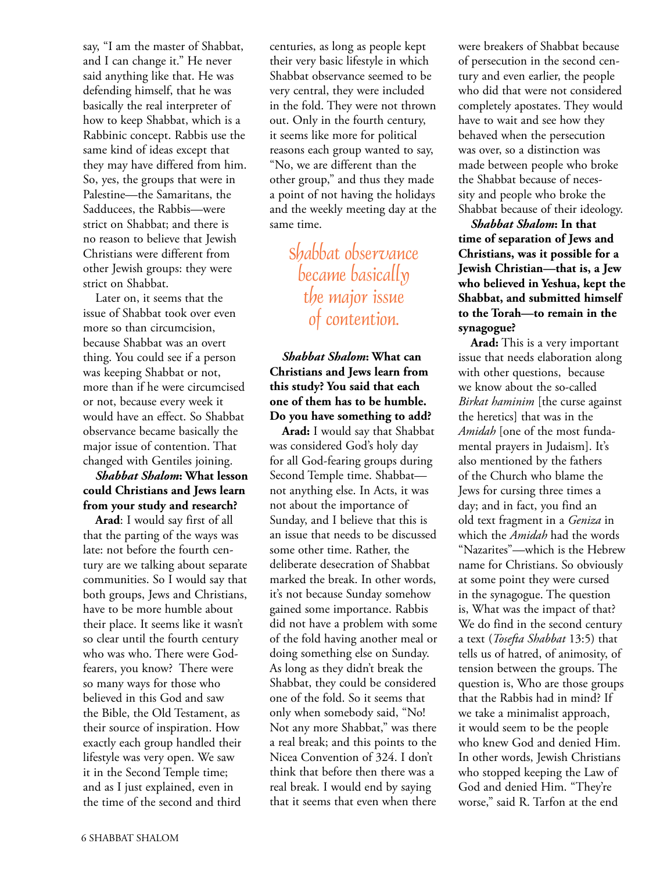say, "I am the master of Shabbat, and I can change it." He never said anything like that. He was defending himself, that he was basically the real interpreter of how to keep Shabbat, which is a Rabbinic concept. Rabbis use the same kind of ideas except that they may have differed from him. So, yes, the groups that were in Palestine—the Samaritans, the Sadducees, the Rabbis—were strict on Shabbat; and there is no reason to believe that Jewish Christians were different from other Jewish groups: they were strict on Shabbat.

Later on, it seems that the issue of Shabbat took over even more so than circumcision, because Shabbat was an overt thing. You could see if a person was keeping Shabbat or not, more than if he were circumcised or not, because every week it would have an effect. So Shabbat observance became basically the major issue of contention. That changed with Gentiles joining.

#### *Shabbat Shalom***: What lesson could Christians and Jews learn from your study and research?**

**Arad**: I would say first of all that the parting of the ways was late: not before the fourth century are we talking about separate communities. So I would say that both groups, Jews and Christians, have to be more humble about their place. It seems like it wasn't so clear until the fourth century who was who. There were Godfearers, you know? There were so many ways for those who believed in this God and saw the Bible, the Old Testament, as their source of inspiration. How exactly each group handled their lifestyle was very open. We saw it in the Second Temple time; and as I just explained, even in the time of the second and third

centuries, as long as people kept their very basic lifestyle in which Shabbat observance seemed to be very central, they were included in the fold. They were not thrown out. Only in the fourth century, it seems like more for political reasons each group wanted to say, "No, we are different than the other group," and thus they made a point of not having the holidays and the weekly meeting day at the same time.

> Shabbat observance became basically the *major* issue of contention.

*Shabbat Shalom***: What can Christians and Jews learn from this study? You said that each one of them has to be humble. Do you have something to add?**

**Arad:** I would say that Shabbat was considered God's holy day for all God-fearing groups during Second Temple time. Shabbat not anything else. In Acts, it was not about the importance of Sunday, and I believe that this is an issue that needs to be discussed some other time. Rather, the deliberate desecration of Shabbat marked the break. In other words, it's not because Sunday somehow gained some importance. Rabbis did not have a problem with some of the fold having another meal or doing something else on Sunday. As long as they didn't break the Shabbat, they could be considered one of the fold. So it seems that only when somebody said, "No! Not any more Shabbat," was there a real break; and this points to the Nicea Convention of 324. I don't think that before then there was a real break. I would end by saying that it seems that even when there

were breakers of Shabbat because of persecution in the second century and even earlier, the people who did that were not considered completely apostates. They would have to wait and see how they behaved when the persecution was over, so a distinction was made between people who broke the Shabbat because of necessity and people who broke the Shabbat because of their ideology.

*Shabbat Shalom***: In that time of separation of Jews and Christians, was it possible for a Jewish Christian—that is, a Jew who believed in Yeshua, kept the Shabbat, and submitted himself to the Torah—to remain in the synagogue?**

**Arad:** This is a very important issue that needs elaboration along with other questions, because we know about the so-called *Birkat haminim* [the curse against the heretics] that was in the *Amidah* [one of the most fundamental prayers in Judaism]. It's also mentioned by the fathers of the Church who blame the Jews for cursing three times a day; and in fact, you find an old text fragment in a *Geniza* in which the *Amidah* had the words "Nazarites"—which is the Hebrew name for Christians. So obviously at some point they were cursed in the synagogue. The question is, What was the impact of that? We do find in the second century a text (*Tosefta Shabbat* 13:5) that tells us of hatred, of animosity, of tension between the groups. The question is, Who are those groups that the Rabbis had in mind? If we take a minimalist approach, it would seem to be the people who knew God and denied Him. In other words, Jewish Christians who stopped keeping the Law of God and denied Him. "They're worse," said R. Tarfon at the end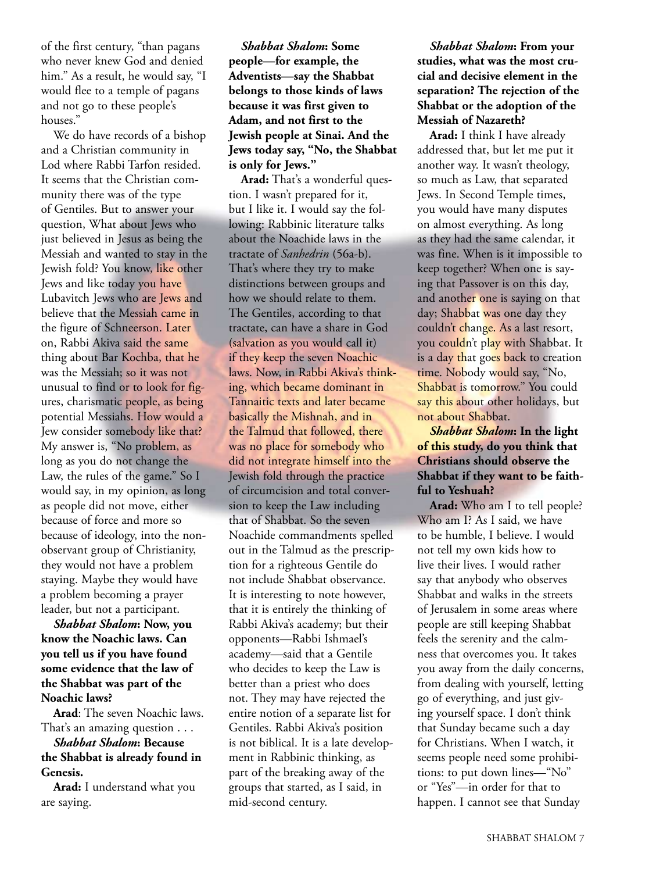of the first century, "than pagans who never knew God and denied him." As a result, he would say, "I would flee to a temple of pagans and not go to these people's houses."

We do have records of a bishop and a Christian community in Lod where Rabbi Tarfon resided. It seems that the Christian community there was of the type of Gentiles. But to answer your question, What about Jews who just believed in Jesus as being the Messiah and wanted to stay in the Jewish fold? You know, like other Jews and like today you have Lubavitch Jews who are Jews and believe that the Messiah came in the figure of Schneerson. Later on, Rabbi Akiva said the same thing about Bar Kochba, that he was the Messiah; so it was not unusual to find or to look for figures, charismatic people, as being potential Messiahs. How would a Jew consider somebody like that? My answer is, "No problem, as long as you do not change the Law, the rules of the game." So I would say, in my opinion, as long as people did not move, either because of force and more so because of ideology, into the nonobservant group of Christianity, they would not have a problem staying. Maybe they would have a problem becoming a prayer leader, but not a participant.

*Shabbat Shalom***: Now, you know the Noachic laws. Can you tell us if you have found some evidence that the law of the Shabbat was part of the Noachic laws?**

**Arad**: The seven Noachic laws. That's an amazing question . . .

#### *Shabbat Shalom***: Because the Shabbat is already found in Genesis.**

**Arad:** I understand what you are saying.

*Shabbat Shalom***: Some people—for example, the Adventists—say the Shabbat belongs to those kinds of laws because it was first given to Adam, and not first to the Jewish people at Sinai. And the Jews today say, "No, the Shabbat is only for Jews."**

**Arad:** That's a wonderful question. I wasn't prepared for it, but I like it. I would say the following: Rabbinic literature talks about the Noachide laws in the tractate of *Sanhedrin* (56a-b). That's where they try to make distinctions between groups and how we should relate to them. The Gentiles, according to that tractate, can have a share in God (salvation as you would call it) if they keep the seven Noachic laws. Now, in Rabbi Akiva's thinking, which became dominant in Tannaitic texts and later became basically the Mishnah, and in the Talmud that followed, there was no place for somebody who did not integrate himself into the Jewish fold through the practice of circumcision and total conversion to keep the Law including that of Shabbat. So the seven Noachide commandments spelled out in the Talmud as the prescription for a righteous Gentile do not include Shabbat observance. It is interesting to note however, that it is entirely the thinking of Rabbi Akiva's academy; but their opponents—Rabbi Ishmael's academy—said that a Gentile who decides to keep the Law is better than a priest who does not. They may have rejected the entire notion of a separate list for Gentiles. Rabbi Akiva's position is not biblical. It is a late development in Rabbinic thinking, as part of the breaking away of the groups that started, as I said, in mid-second century.

*Shabbat Shalom***: From your studies, what was the most crucial and decisive element in the separation? The rejection of the Shabbat or the adoption of the Messiah of Nazareth?**

**Arad:** I think I have already addressed that, but let me put it another way. It wasn't theology, so much as Law, that separated Jews. In Second Temple times, you would have many disputes on almost everything. As long as they had the same calendar, it was fine. When is it impossible to keep together? When one is saying that Passover is on this day, and another one is saying on that day; Shabbat was one day they couldn't change. As a last resort, you couldn't play with Shabbat. It is a day that goes back to creation time. Nobody would say, "No, Shabbat is tomorrow." You could say this about other holidays, but not about Shabbat.

#### *Shabbat Shalom***: In the light of this study, do you think that Christians should observe the Shabbat if they want to be faithful to Yeshuah?**

**Arad:** Who am I to tell people? Who am I? As I said, we have to be humble, I believe. I would not tell my own kids how to live their lives. I would rather say that anybody who observes Shabbat and walks in the streets of Jerusalem in some areas where people are still keeping Shabbat feels the serenity and the calmness that overcomes you. It takes you away from the daily concerns, from dealing with yourself, letting go of everything, and just giving yourself space. I don't think that Sunday became such a day for Christians. When I watch, it seems people need some prohibitions: to put down lines—"No" or "Yes"—in order for that to happen. I cannot see that Sunday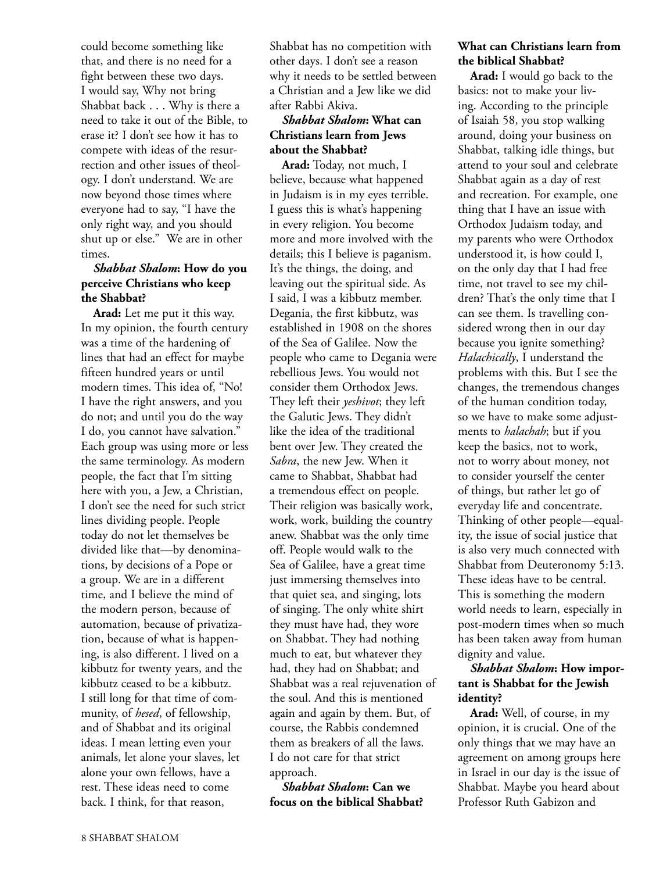could become something like that, and there is no need for a fight between these two days. I would say, Why not bring Shabbat back . . . Why is there a need to take it out of the Bible, to erase it? I don't see how it has to compete with ideas of the resurrection and other issues of theology. I don't understand. We are now beyond those times where everyone had to say, "I have the only right way, and you should shut up or else." We are in other times.

#### *Shabbat Shalom***: How do you perceive Christians who keep the Shabbat?**

**Arad:** Let me put it this way. In my opinion, the fourth century was a time of the hardening of lines that had an effect for maybe fifteen hundred years or until modern times. This idea of, "No! I have the right answers, and you do not; and until you do the way I do, you cannot have salvation." Each group was using more or less the same terminology. As modern people, the fact that I'm sitting here with you, a Jew, a Christian, I don't see the need for such strict lines dividing people. People today do not let themselves be divided like that—by denominations, by decisions of a Pope or a group. We are in a different time, and I believe the mind of the modern person, because of automation, because of privatization, because of what is happening, is also different. I lived on a kibbutz for twenty years, and the kibbutz ceased to be a kibbutz. I still long for that time of community, of *hesed*, of fellowship, and of Shabbat and its original ideas. I mean letting even your animals, let alone your slaves, let alone your own fellows, have a rest. These ideas need to come back. I think, for that reason,

Shabbat has no competition with other days. I don't see a reason why it needs to be settled between a Christian and a Jew like we did after Rabbi Akiva.

#### *Shabbat Shalom***: What can Christians learn from Jews about the Shabbat?**

**Arad:** Today, not much, I believe, because what happened in Judaism is in my eyes terrible. I guess this is what's happening in every religion. You become more and more involved with the details; this I believe is paganism. It's the things, the doing, and leaving out the spiritual side. As I said, I was a kibbutz member. Degania, the first kibbutz, was established in 1908 on the shores of the Sea of Galilee. Now the people who came to Degania were rebellious Jews. You would not consider them Orthodox Jews. They left their *yeshivot*; they left the Galutic Jews. They didn't like the idea of the traditional bent over Jew. They created the *Sabra*, the new Jew. When it came to Shabbat, Shabbat had a tremendous effect on people. Their religion was basically work, work, work, building the country anew. Shabbat was the only time off. People would walk to the Sea of Galilee, have a great time just immersing themselves into that quiet sea, and singing, lots of singing. The only white shirt they must have had, they wore on Shabbat. They had nothing much to eat, but whatever they had, they had on Shabbat; and Shabbat was a real rejuvenation of the soul. And this is mentioned again and again by them. But, of course, the Rabbis condemned them as breakers of all the laws. I do not care for that strict approach.

*Shabbat Shalom***: Can we focus on the biblical Shabbat?**

#### **What can Christians learn from the biblical Shabbat?**

**Arad:** I would go back to the basics: not to make your living. According to the principle of Isaiah 58, you stop walking around, doing your business on Shabbat, talking idle things, but attend to your soul and celebrate Shabbat again as a day of rest and recreation. For example, one thing that I have an issue with Orthodox Judaism today, and my parents who were Orthodox understood it, is how could I, on the only day that I had free time, not travel to see my children? That's the only time that I can see them. Is travelling considered wrong then in our day because you ignite something? *Halachically*, I understand the problems with this. But I see the changes, the tremendous changes of the human condition today, so we have to make some adjustments to *halachah*; but if you keep the basics, not to work, not to worry about money, not to consider yourself the center of things, but rather let go of everyday life and concentrate. Thinking of other people—equality, the issue of social justice that is also very much connected with Shabbat from Deuteronomy 5:13. These ideas have to be central. This is something the modern world needs to learn, especially in post-modern times when so much has been taken away from human dignity and value.

#### *Shabbat Shalom***: How important is Shabbat for the Jewish identity?**

**Arad:** Well, of course, in my opinion, it is crucial. One of the only things that we may have an agreement on among groups here in Israel in our day is the issue of Shabbat. Maybe you heard about Professor Ruth Gabizon and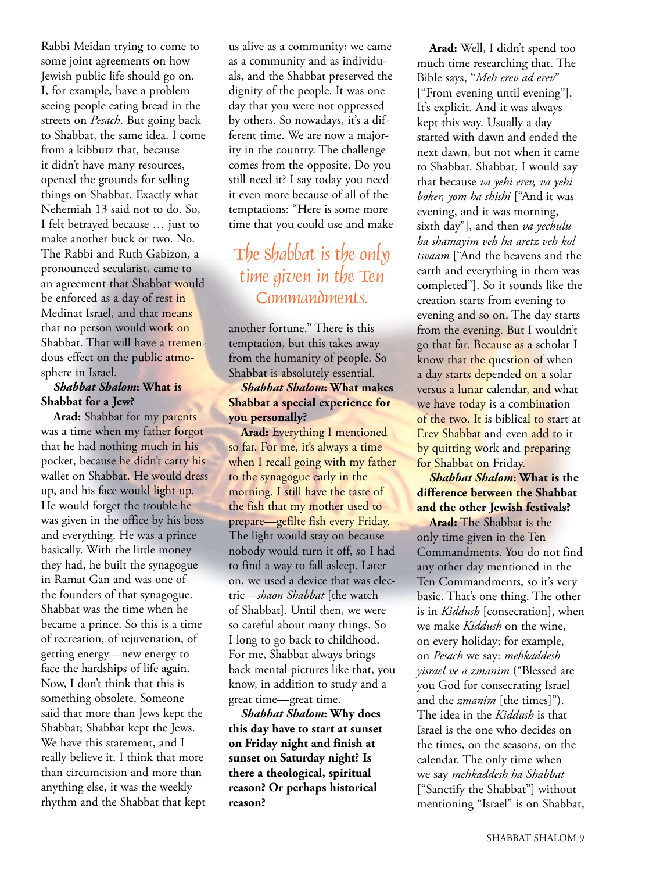Rabbi Meidan trying to come to some joint agreements on how Jewish public life should go on. I, for example, have a problem seeing people eating bread in the streets on *Pesach*. But going back to Shabbat, the same idea. I come from a kibbutz that, because it didn't have many resources, opened the grounds for selling things on Shabbat. Exactly what Nehemiah 13 said not to do. So, I felt betrayed because … just to make another buck or two. No. The Rabbi and Ruth Gabizon, a pronounced secularist, came to an agreement that Shabbat would be enforced as a day of rest in Medinat Israel, and that means that no person would work on Shabbat. That will have a tremendous effect on the public atmosphere in Israel.

#### *Shabbat Shalom***: What is Shabbat for a Jew?**

**Arad:** Shabbat for my parents was a time when my father forgot that he had nothing much in his pocket, because he didn't carry his wallet on Shabbat. He would dress up, and his face would light up. He would forget the trouble he was given in the office by his boss and everything. He was a prince basically. With the little money they had, he built the synagogue in Ramat Gan and was one of the founders of that synagogue. Shabbat was the time when he became a prince. So this is a time of recreation, of rejuvenation, of getting energy—new energy to face the hardships of life again. Now, I don't think that this is something obsolete. Someone said that more than Jews kept the Shabbat; Shabbat kept the Jews. We have this statement, and I really believe it. I think that more than circumcision and more than anything else, it was the weekly rhythm and the Shabbat that kept

us alive as a community; we came as a community and as individuals, and the Shabbat preserved the dignity of the people. It was one day that you were not oppressed by others. So nowadays, it's a different time. We are now a majority in the country. The challenge comes from the opposite. Do you still need it? I say today you need it even more because of all of the temptations: "Here is some more time that you could use and make

### The Shabbat is the only time given in the Ten Commandments.

another fortune." There is this temptation, but this takes away from the humanity of people. So Shabbat is absolutely essential.

#### *Shabbat Shalom***: What makes Shabbat a special experience for you personally?**

**Arad:** Everything I mentioned so far. For me, it's always a time when I recall going with my father to the synagogue early in the morning. I still have the taste of the fish that my mother used to prepare—gefilte fish every Friday. The light would stay on because nobody would turn it off, so I had to find a way to fall asleep. Later on, we used a device that was electric—*shaon Shabbat* [the watch of Shabbat]. Until then, we were so careful about many things. So I long to go back to childhood. For me, Shabbat always brings back mental pictures like that, you know, in addition to study and a great time—great time.

*Shabbat Shalom***: Why does this day have to start at sunset on Friday night and finish at sunset on Saturday night? Is there a theological, spiritual reason? Or perhaps historical reason?**

**Arad:** Well, I didn't spend too much time researching that. The Bible says, "*Meh erev ad erev*" ["From evening until evening"]. It's explicit. And it was always kept this way. Usually a day started with dawn and ended the next dawn, but not when it came to Shabbat. Shabbat, I would say that because *va yehi erev, va yehi boker, yom ha shishi* ["And it was evening, and it was morning, sixth day"], and then *va yechulu ha shamayim veh ha aretz veh kol tsvaam* ["And the heavens and the earth and everything in them was completed"]. So it sounds like the creation starts from evening to evening and so on. The day starts from the evening. But I wouldn't go that far. Because as a scholar I know that the question of when a day starts <mark>dep</mark>ende<mark>d on a</mark> solar versus a lunar calendar, and what we have today is a combination of the two. It is biblical to start at Erev Shabbat and even add to it by quitting work and preparing for Shabbat on Friday.

#### *Shabbat Shalom***: What is the difference between the Shabbat and the other Jewish festivals?**

**Arad:** The Shabbat is the only time given in the Ten Commandments. You do not find any other day mentioned in the Ten Commandments, so it's very basic. That's one thing. The other is in *Kiddush* [consecration], when we make *Kiddush* on the wine, on every holiday; for example, on *Pesach* we say: *mehkaddesh yisrael ve a zmanim* ("Blessed are you God for consecrating Israel and the *zmanim* [the times]"). The idea in the *Kiddush* is that Israel is the one who decides on the times, on the seasons, on the calendar. The only time when we say *mehkaddesh ha Shabbat* ["Sanctify the Shabbat"] without mentioning "Israel" is on Shabbat,